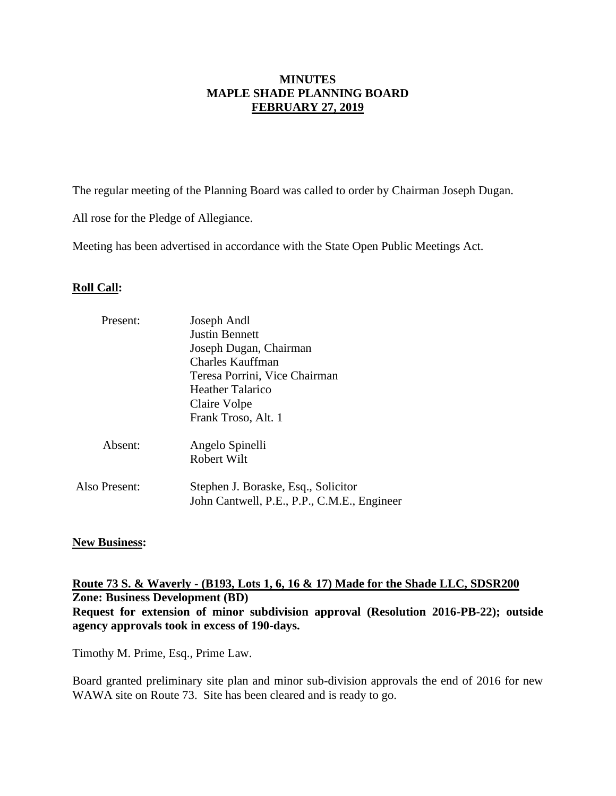### **MINUTES MAPLE SHADE PLANNING BOARD FEBRUARY 27, 2019**

The regular meeting of the Planning Board was called to order by Chairman Joseph Dugan.

All rose for the Pledge of Allegiance.

Meeting has been advertised in accordance with the State Open Public Meetings Act.

### **Roll Call:**

| Present:      | Joseph Andl                                                                        |  |  |
|---------------|------------------------------------------------------------------------------------|--|--|
|               | <b>Justin Bennett</b>                                                              |  |  |
|               | Joseph Dugan, Chairman                                                             |  |  |
|               | <b>Charles Kauffman</b>                                                            |  |  |
|               | Teresa Porrini, Vice Chairman                                                      |  |  |
|               | Heather Talarico                                                                   |  |  |
|               | Claire Volpe                                                                       |  |  |
|               | Frank Troso, Alt. 1                                                                |  |  |
| Absent:       | Angelo Spinelli                                                                    |  |  |
|               | Robert Wilt                                                                        |  |  |
| Also Present: | Stephen J. Boraske, Esq., Solicitor<br>John Cantwell, P.E., P.P., C.M.E., Engineer |  |  |
|               |                                                                                    |  |  |

#### **New Business:**

**Route 73 S. & Waverly - (B193, Lots 1, 6, 16 & 17) Made for the Shade LLC, SDSR200 Zone: Business Development (BD) Request for extension of minor subdivision approval (Resolution 2016-PB-22); outside agency approvals took in excess of 190-days.**

Timothy M. Prime, Esq., Prime Law.

Board granted preliminary site plan and minor sub-division approvals the end of 2016 for new WAWA site on Route 73. Site has been cleared and is ready to go.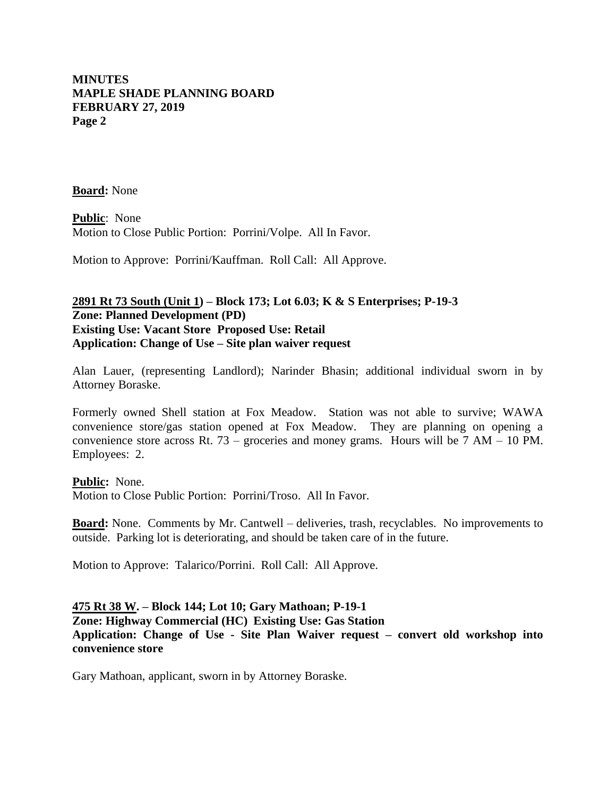### **MINUTES MAPLE SHADE PLANNING BOARD FEBRUARY 27, 2019 Page 2**

**Board:** None

**Public**: None Motion to Close Public Portion: Porrini/Volpe. All In Favor.

Motion to Approve: Porrini/Kauffman. Roll Call: All Approve.

# **2891 Rt 73 South (Unit 1) – Block 173; Lot 6.03; K & S Enterprises; P-19-3 Zone: Planned Development (PD) Existing Use: Vacant Store Proposed Use: Retail Application: Change of Use – Site plan waiver request**

Alan Lauer, (representing Landlord); Narinder Bhasin; additional individual sworn in by Attorney Boraske.

Formerly owned Shell station at Fox Meadow. Station was not able to survive; WAWA convenience store/gas station opened at Fox Meadow. They are planning on opening a convenience store across Rt. 73 – groceries and money grams. Hours will be 7 AM – 10 PM. Employees: 2.

**Public:** None. Motion to Close Public Portion: Porrini/Troso. All In Favor.

**Board:** None. Comments by Mr. Cantwell – deliveries, trash, recyclables. No improvements to outside. Parking lot is deteriorating, and should be taken care of in the future.

Motion to Approve: Talarico/Porrini. Roll Call: All Approve.

## **475 Rt 38 W. – Block 144; Lot 10; Gary Mathoan; P-19-1 Zone: Highway Commercial (HC) Existing Use: Gas Station Application: Change of Use - Site Plan Waiver request – convert old workshop into convenience store**

Gary Mathoan, applicant, sworn in by Attorney Boraske.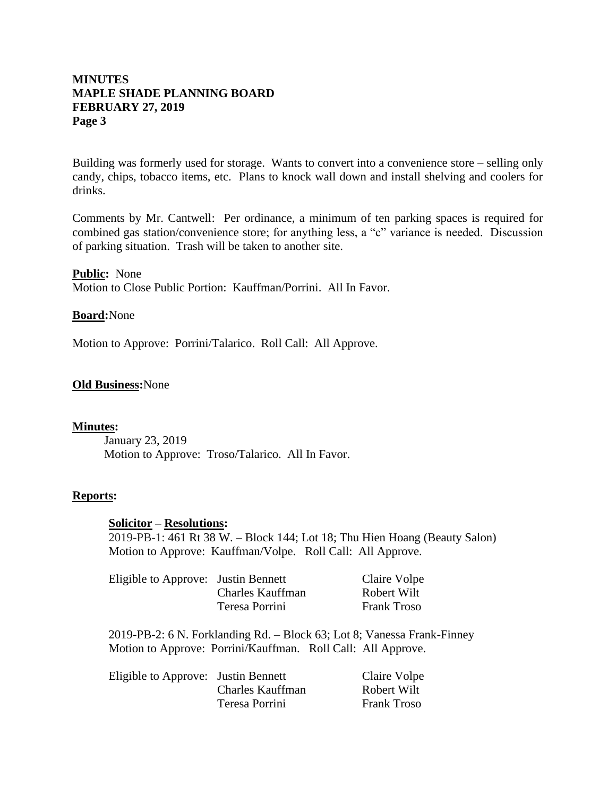## **MINUTES MAPLE SHADE PLANNING BOARD FEBRUARY 27, 2019 Page 3**

Building was formerly used for storage. Wants to convert into a convenience store – selling only candy, chips, tobacco items, etc. Plans to knock wall down and install shelving and coolers for drinks.

Comments by Mr. Cantwell: Per ordinance, a minimum of ten parking spaces is required for combined gas station/convenience store; for anything less, a "c" variance is needed. Discussion of parking situation. Trash will be taken to another site.

**Public:** None Motion to Close Public Portion: Kauffman/Porrini. All In Favor.

#### **Board:**None

Motion to Approve: Porrini/Talarico. Roll Call: All Approve.

#### **Old Business:**None

#### **Minutes:**

January 23, 2019 Motion to Approve: Troso/Talarico. All In Favor.

#### **Reports:**

#### **Solicitor – Resolutions:**

2019-PB-1: 461 Rt 38 W. – Block 144; Lot 18; Thu Hien Hoang (Beauty Salon) Motion to Approve: Kauffman/Volpe. Roll Call: All Approve.

| Eligible to Approve: Justin Bennett |                  | Claire Volpe       |
|-------------------------------------|------------------|--------------------|
|                                     | Charles Kauffman | Robert Wilt        |
|                                     | Teresa Porrini   | <b>Frank Troso</b> |

2019-PB-2: 6 N. Forklanding Rd. – Block 63; Lot 8; Vanessa Frank-Finney Motion to Approve: Porrini/Kauffman. Roll Call: All Approve.

| Eligible to Approve: Justin Bennett |                  | Claire Volpe       |
|-------------------------------------|------------------|--------------------|
|                                     | Charles Kauffman | Robert Wilt        |
|                                     | Teresa Porrini   | <b>Frank Troso</b> |